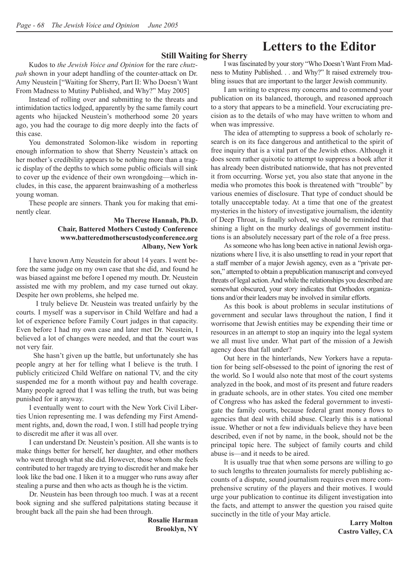## **Letters to the Editor**

#### **Still Waiting for Sherry**

Kudos to *the Jewish Voice and Opinion* for the rare *chutzpah* shown in your adept handling of the counter-attack on Dr. Amy Neustein ["Waiting for Sherry, Part II: Who Doesn't Want From Madness to Mutiny Published, and Why?" May 2005]

Instead of rolling over and submitting to the threats and intimidation tactics lodged, apparently by the same family court agents who hijacked Neustein's motherhood some 20 years ago, you had the courage to dig more deeply into the facts of this case.

You demonstrated Solomon-like wisdom in reporting enough information to show that Sherry Neustein's attack on her mother's credibility appears to be nothing more than a tragic display of the depths to which some public officials will sink to cover up the evidence of their own wrongdoing—which includes, in this case, the apparent brainwashing of a motherless young woman.

These people are sinners. Thank you for making that eminently clear.

#### **Mo Therese Hannah, Ph.D. Chair, Battered Mothers Custody Conference www.batteredmotherscustodyconference.org Albany, New York**

I have known Amy Neustein for about 14 years. I went before the same judge on my own case that she did, and found he was biased against me before I opened my mouth. Dr. Neustein assisted me with my problem, and my case turned out okay. Despite her own problems, she helped me.

 I truly believe Dr. Neustein was treated unfairly by the courts. I myself was a supervisor in Child Welfare and had a lot of experience before Family Court judges in that capacity. Even before I had my own case and later met Dr. Neustein, I believed a lot of changes were needed, and that the court was not very fair.

 She hasn't given up the battle, but unfortunately she has people angry at her for telling what I believe is the truth. I publicly criticized Child Welfare on national TV, and the city suspended me for a month without pay and health coverage. Many people agreed that I was telling the truth, but was being punished for it anyway.

I eventually went to court with the New York Civil Liberties Union representing me. I was defending my First Amendment rights, and, down the road, I won. I still had people trying to discredit me after it was all over.

I can understand Dr. Neustein's position. All she wants is to make things better for herself, her daughter, and other mothers who went through what she did. However, those whom she feels contributed to her tragedy are trying to discredit her and make her look like the bad one. I liken it to a mugger who runs away after stealing a purse and then who acts as though he is the victim.

Dr. Neustein has been through too much. I was at a recent book signing and she suffered palpitations stating because it brought back all the pain she had been through.

> **Rosalie Harman Brooklyn, NY**

I was fascinated by your story "Who Doesn't Want From Madness to Mutiny Published. . . and Why?" It raised extremely troubling issues that are important to the larger Jewish community.

I am writing to express my concerns and to commend your publication on its balanced, thorough, and reasoned approach to a story that appears to be a minefield. Your excruciating precision as to the details of who may have written to whom and when was impressive.

The idea of attempting to suppress a book of scholarly research is on its face dangerous and antithetical to the spirit of free inquiry that is a vital part of the Jewish ethos. Although it does seem rather quixotic to attempt to suppress a book after it has already been distributed nationwide, that has not prevented it from occurring. Worse yet, you also state that anyone in the media who promotes this book is threatened with "trouble" by various enemies of disclosure. That type of conduct should be totally unacceptable today. At a time that one of the greatest mysteries in the history of investigative journalism, the identity of Deep Throat, is finally solved, we should be reminded that shining a light on the murky dealings of government institutions is an absolutely necessary part of the role of a free press.

As someone who has long been active in national Jewish organizations where I live, it is also unsettling to read in your report that a staff member of a major Jewish agency, even as a "private person," attempted to obtain a prepublication manuscript and conveyed threats of legal action. And while the relationships you described are somewhat obscured, your story indicates that Orthodox organizations and/or their leaders may be involved in similar efforts.

As this book is about problems in secular institutions of government and secular laws throughout the nation, I find it worrisome that Jewish entities may be expending their time or resources in an attempt to stop an inquiry into the legal system we all must live under. What part of the mission of a Jewish agency does that fall under?

Out here in the hinterlands, New Yorkers have a reputation for being self-obsessed to the point of ignoring the rest of the world. So I would also note that most of the court systems analyzed in the book, and most of its present and future readers in graduate schools, are in other states. You cited one member of Congress who has asked the federal government to investigate the family courts, because federal grant money flows to agencies that deal with child abuse. Clearly this is a national issue. Whether or not a few individuals believe they have been described, even if not by name, in the book, should not be the principal topic here. The subject of family courts and child abuse is—and it needs to be aired.

It is usually true that when some persons are willing to go to such lengths to threaten journalists for merely publishing accounts of a dispute, sound journalism requires even more comprehensive scrutiny of the players and their motives. I would urge your publication to continue its diligent investigation into the facts, and attempt to answer the question you raised quite succinctly in the title of your May article.

> **Larry Molton Castro Valley, CA**